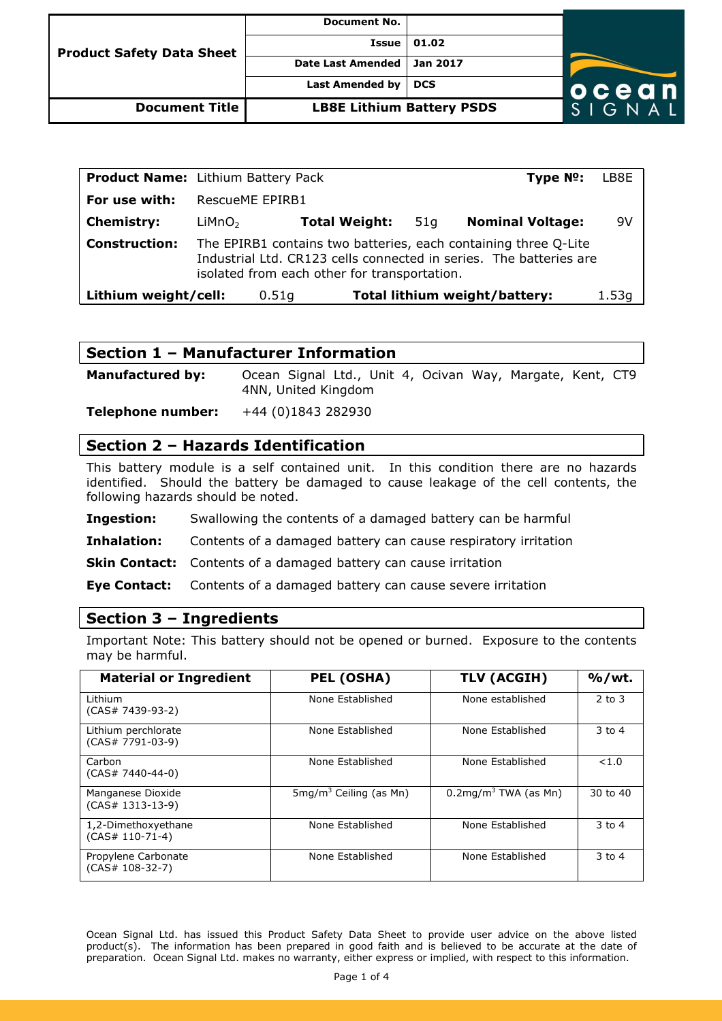| <b>Product Safety Data Sheet</b> | <b>Document No.</b>              |            |       |
|----------------------------------|----------------------------------|------------|-------|
|                                  | Issue                            | 01.02      |       |
|                                  | <b>Date Last Amended</b>         | Jan 2017   |       |
|                                  | Last Amended by                  | <b>DCS</b> | ocean |
| <b>Document Title</b>            | <b>LB8E Lithium Battery PSDS</b> |            | GNAI  |

| <b>Product Name:</b> Lithium Battery Pack                                                                                                                                                                     |                    |                      |  |     | Type Nº:                      | LB8E  |
|---------------------------------------------------------------------------------------------------------------------------------------------------------------------------------------------------------------|--------------------|----------------------|--|-----|-------------------------------|-------|
| For use with:                                                                                                                                                                                                 | RescueME EPIRB1    |                      |  |     |                               |       |
| <b>Chemistry:</b>                                                                                                                                                                                             | LiMnO <sub>2</sub> | <b>Total Weight:</b> |  | 51q | <b>Nominal Voltage:</b>       | 9V    |
| <b>Construction:</b><br>The EPIRB1 contains two batteries, each containing three Q-Lite<br>Industrial Ltd. CR123 cells connected in series. The batteries are<br>isolated from each other for transportation. |                    |                      |  |     |                               |       |
| Lithium weight/cell:                                                                                                                                                                                          |                    | 0.51q                |  |     | Total lithium weight/battery: | 1.53q |

### **Section 1 – Manufacturer Information**

**Manufactured by:** Ocean Signal Ltd., Unit 4, Ocivan Way, Margate, Kent, CT9 4NN, United Kingdom

**Telephone number:** +44 (0)1843 282930

### **Section 2 – Hazards Identification**

This battery module is a self contained unit. In this condition there are no hazards identified. Should the battery be damaged to cause leakage of the cell contents, the following hazards should be noted.

**Ingestion:** Swallowing the contents of a damaged battery can be harmful

**Inhalation:** Contents of a damaged battery can cause respiratory irritation

**Skin Contact:** Contents of a damaged battery can cause irritation

**Eye Contact:** Contents of a damaged battery can cause severe irritation

#### **Section 3 – Ingredients**

Important Note: This battery should not be opened or burned. Exposure to the contents may be harmful.

| <b>Material or Ingredient</b>             | <b>PEL (OSHA)</b>                 | TLV (ACGIH)                         | $%$ /wt.   |
|-------------------------------------------|-----------------------------------|-------------------------------------|------------|
| I ithium<br>$(CAS# 7439-93-2)$            | None Established                  | None established                    | $2$ to $3$ |
| Lithium perchlorate<br>$(CAS# 7791-03-9)$ | None Established                  | None Established                    | $3$ to $4$ |
| Carbon<br>$(CAS# 7440-44-0)$              | None Established                  | None Established                    | < 1.0      |
| Manganese Dioxide<br>$(CAS# 1313-13-9)$   | $5 \text{mq/m}^3$ Ceiling (as Mn) | $0.2$ mg/m <sup>3</sup> TWA (as Mn) | 30 to 40   |
| 1,2-Dimethoxyethane<br>$(CAS# 110-71-4)$  | None Established                  | None Established                    | $3$ to $4$ |
| Propylene Carbonate<br>$(CAS# 108-32-7)$  | None Established                  | None Established                    | $3$ to $4$ |

Ocean Signal Ltd. has issued this Product Safety Data Sheet to provide user advice on the above listed product(s). The information has been prepared in good faith and is believed to be accurate at the date of preparation. Ocean Signal Ltd. makes no warranty, either express or implied, with respect to this information.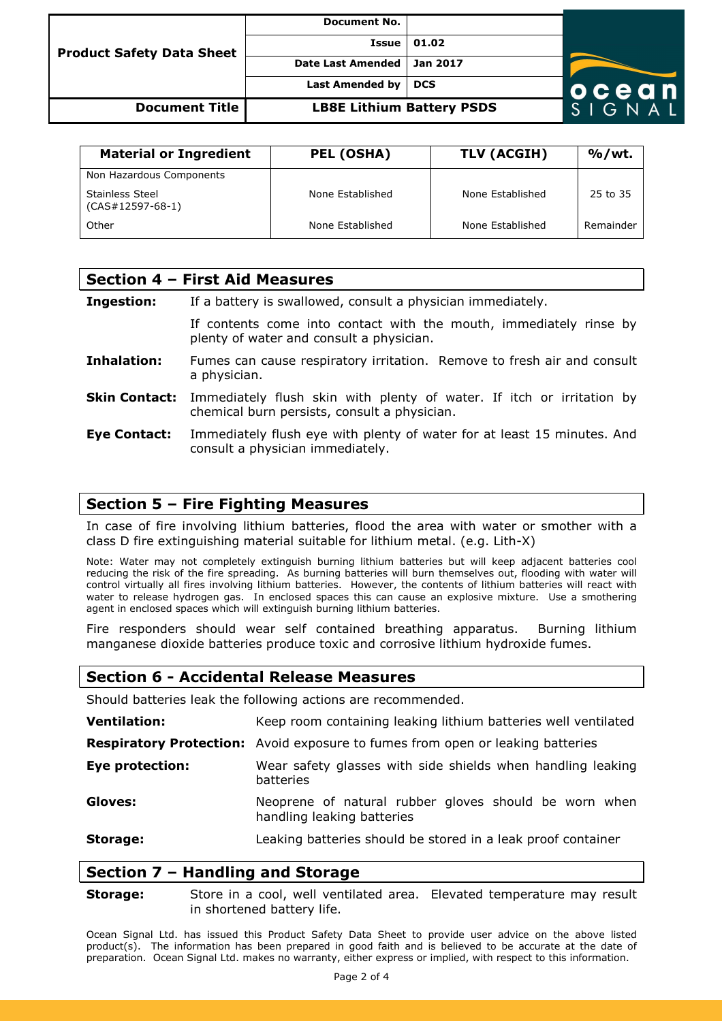| <b>Product Safety Data Sheet</b> | <b>Document No.</b>              |          |        |
|----------------------------------|----------------------------------|----------|--------|
|                                  | Issue                            | 01.02    |        |
|                                  | <b>Date Last Amended</b>         | Jan 2017 |        |
|                                  | <b>Last Amended by</b>           | DCS      | ocean  |
| Document Title                   | <b>LB8E Lithium Battery PSDS</b> |          | SIGNAL |

| <b>Material or Ingredient</b>                | PEL (OSHA)       | TLV (ACGIH)      | $%$ /wt.  |
|----------------------------------------------|------------------|------------------|-----------|
| Non Hazardous Components                     |                  |                  |           |
| <b>Stainless Steel</b><br>$(CAS#12597-68-1)$ | None Established | None Established | 25 to 35  |
| Other                                        | None Established | None Established | Remainder |

| Section 4 - First Aid Measures |                                                                                                                       |  |  |  |
|--------------------------------|-----------------------------------------------------------------------------------------------------------------------|--|--|--|
| Ingestion:                     | If a battery is swallowed, consult a physician immediately.                                                           |  |  |  |
|                                | If contents come into contact with the mouth, immediately rinse by<br>plenty of water and consult a physician.        |  |  |  |
| Inhalation:                    | Fumes can cause respiratory irritation. Remove to fresh air and consult<br>a physician.                               |  |  |  |
| <b>Skin Contact:</b>           | Immediately flush skin with plenty of water. If itch or irritation by<br>chemical burn persists, consult a physician. |  |  |  |
| Eye Contact:                   | Immediately flush eye with plenty of water for at least 15 minutes. And<br>consult a physician immediately.           |  |  |  |

#### **Section 5 – Fire Fighting Measures**

In case of fire involving lithium batteries, flood the area with water or smother with a class D fire extinguishing material suitable for lithium metal. (e.g. Lith-X)

Note: Water may not completely extinguish burning lithium batteries but will keep adjacent batteries cool reducing the risk of the fire spreading. As burning batteries will burn themselves out, flooding with water will control virtually all fires involving lithium batteries. However, the contents of lithium batteries will react with water to release hydrogen gas. In enclosed spaces this can cause an explosive mixture. Use a smothering agent in enclosed spaces which will extinguish burning lithium batteries.

Fire responders should wear self contained breathing apparatus. Burning lithium manganese dioxide batteries produce toxic and corrosive lithium hydroxide fumes.

### **Section 6 - Accidental Release Measures**

Should batteries leak the following actions are recommended.

| <b>Ventilation:</b>    | Keep room containing leaking lithium batteries well ventilated                        |  |  |
|------------------------|---------------------------------------------------------------------------------------|--|--|
|                        | <b>Respiratory Protection:</b> Avoid exposure to fumes from open or leaking batteries |  |  |
| <b>Eye protection:</b> | Wear safety glasses with side shields when handling leaking<br>batteries              |  |  |
| Gloves:                | Neoprene of natural rubber gloves should be worn when<br>handling leaking batteries   |  |  |
| Storage:               | Leaking batteries should be stored in a leak proof container                          |  |  |

### **Section 7 – Handling and Storage**

**Storage:** Store in a cool, well ventilated area. Elevated temperature may result in shortened battery life.

Ocean Signal Ltd. has issued this Product Safety Data Sheet to provide user advice on the above listed product(s). The information has been prepared in good faith and is believed to be accurate at the date of preparation. Ocean Signal Ltd. makes no warranty, either express or implied, with respect to this information.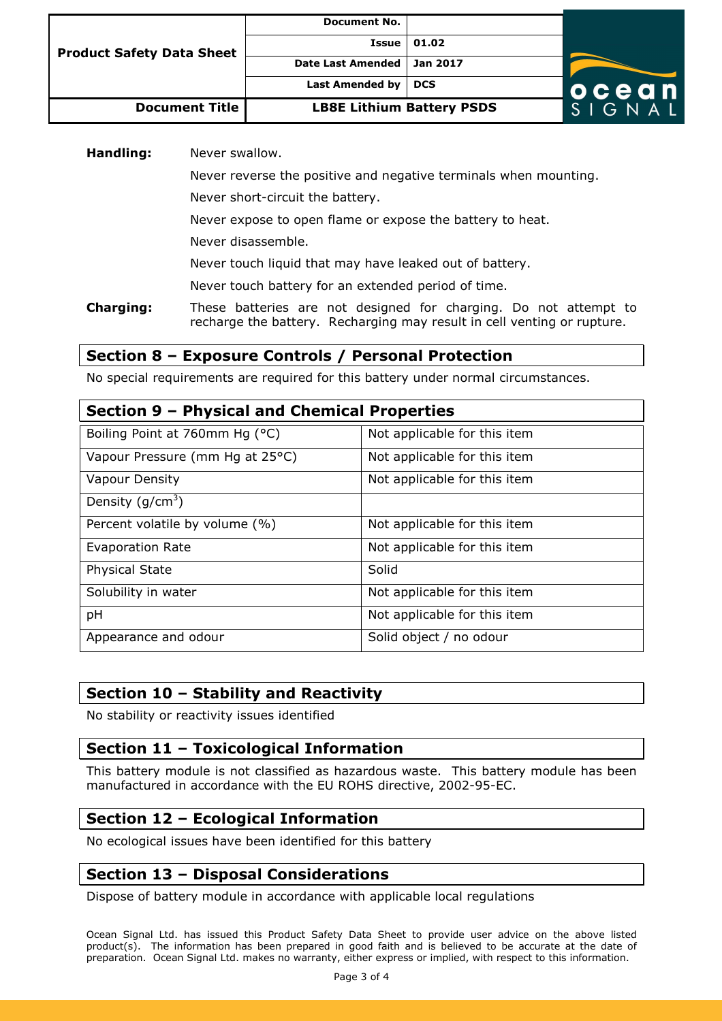| <b>Product Safety Data Sheet</b> | <b>Document No.</b>              |            |           |
|----------------------------------|----------------------------------|------------|-----------|
|                                  | Issue                            | 01.02      |           |
|                                  | <b>Date Last Amended</b>         | Jan 2017   |           |
|                                  | <b>Last Amended by</b>           | <b>DCS</b> | ocean     |
| <b>Document Title</b>            | <b>LB8E Lithium Battery PSDS</b> |            | $G$ N A L |

**Handling:** Never swallow.

Never reverse the positive and negative terminals when mounting.

Never short-circuit the battery.

Never expose to open flame or expose the battery to heat.

Never disassemble.

Never touch liquid that may have leaked out of battery.

Never touch battery for an extended period of time.

**Charging:** These batteries are not designed for charging. Do not attempt to recharge the battery. Recharging may result in cell venting or rupture.

# **Section 8 – Exposure Controls / Personal Protection**

No special requirements are required for this battery under normal circumstances.

### **Section 9 – Physical and Chemical Properties**

| Boiling Point at 760mm Hg (°C)  | Not applicable for this item |
|---------------------------------|------------------------------|
| Vapour Pressure (mm Hg at 25°C) | Not applicable for this item |
| <b>Vapour Density</b>           | Not applicable for this item |
| Density $(g/cm^3)$              |                              |
| Percent volatile by volume (%)  | Not applicable for this item |
| <b>Evaporation Rate</b>         | Not applicable for this item |
| <b>Physical State</b>           | Solid                        |
| Solubility in water             | Not applicable for this item |
| pH                              | Not applicable for this item |
| Appearance and odour            | Solid object / no odour      |

# **Section 10 – Stability and Reactivity**

No stability or reactivity issues identified

# **Section 11 – Toxicological Information**

This battery module is not classified as hazardous waste. This battery module has been manufactured in accordance with the EU ROHS directive, 2002-95-EC.

# **Section 12 – Ecological Information**

No ecological issues have been identified for this battery

# **Section 13 – Disposal Considerations**

Dispose of battery module in accordance with applicable local regulations

Ocean Signal Ltd. has issued this Product Safety Data Sheet to provide user advice on the above listed product(s). The information has been prepared in good faith and is believed to be accurate at the date of preparation. Ocean Signal Ltd. makes no warranty, either express or implied, with respect to this information.